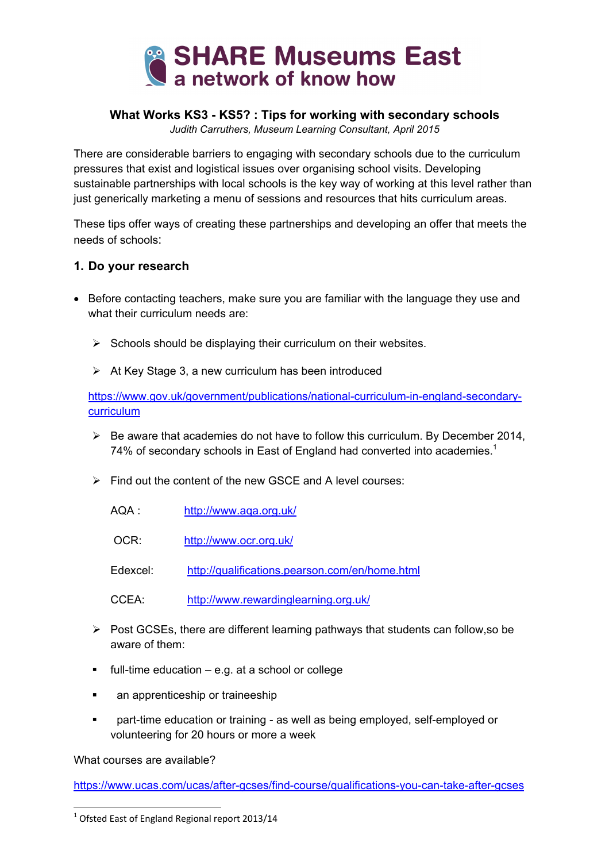

### **What Works KS3 - KS5? : Tips for working with secondary schools**

*Judith Carruthers, Museum Learning Consultant, April 2015*

There are considerable barriers to engaging with secondary schools due to the curriculum pressures that exist and logistical issues over organising school visits. Developing sustainable partnerships with local schools is the key way of working at this level rather than just generically marketing a menu of sessions and resources that hits curriculum areas.

These tips offer ways of creating these partnerships and developing an offer that meets the needs of schools:

#### **1. Do your research**

- Before contacting teachers, make sure you are familiar with the language they use and what their curriculum needs are:
	- $\triangleright$  Schools should be displaying their curriculum on their websites.
	- $\triangleright$  At Key Stage 3, a new curriculum has been introduced

https://www.gov.uk/government/publications/national-curriculum-in-england-secondarycurriculum

- $\triangleright$  Be aware that academies do not have to follow this curriculum. By December 2014, 74% of secondary schools in East of England had converted into academies.<sup>1</sup>
- $\triangleright$  Find out the content of the new GSCE and A level courses:
	- AQA : http://www.aqa.org.uk/
	- OCR: http://www.ocr.org.uk/

Edexcel: http://qualifications.pearson.com/en/home.html

CCEA: http://www.rewardinglearning.org.uk/

- $\triangleright$  Post GCSEs, there are different learning pathways that students can follow, so be aware of them:
- $\blacksquare$  full-time education e.g. at a school or college
- an apprenticeship or traineeship
- part-time education or training as well as being employed, self-employed or volunteering for 20 hours or more a week

What courses are available?

https://www.ucas.com/ucas/after-gcses/find-course/qualifications-you-can-take-after-gcses

 $1$  Ofsted East of England Regional report 2013/14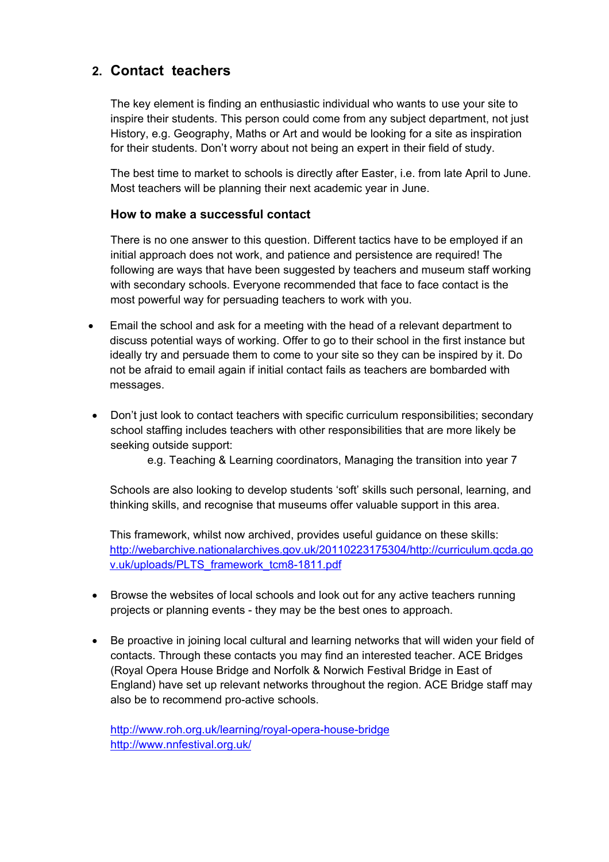# **2. Contact teachers**

The key element is finding an enthusiastic individual who wants to use your site to inspire their students. This person could come from any subject department, not just History, e.g. Geography, Maths or Art and would be looking for a site as inspiration for their students. Don't worry about not being an expert in their field of study.

The best time to market to schools is directly after Easter, i.e. from late April to June. Most teachers will be planning their next academic year in June.

### **How to make a successful contact**

There is no one answer to this question. Different tactics have to be employed if an initial approach does not work, and patience and persistence are required! The following are ways that have been suggested by teachers and museum staff working with secondary schools. Everyone recommended that face to face contact is the most powerful way for persuading teachers to work with you.

- Email the school and ask for a meeting with the head of a relevant department to discuss potential ways of working. Offer to go to their school in the first instance but ideally try and persuade them to come to your site so they can be inspired by it. Do not be afraid to email again if initial contact fails as teachers are bombarded with messages.
- Don't just look to contact teachers with specific curriculum responsibilities; secondary school staffing includes teachers with other responsibilities that are more likely be seeking outside support:

e.g. Teaching & Learning coordinators, Managing the transition into year 7

Schools are also looking to develop students 'soft' skills such personal, learning, and thinking skills, and recognise that museums offer valuable support in this area.

This framework, whilst now archived, provides useful guidance on these skills: http://webarchive.nationalarchives.gov.uk/20110223175304/http://curriculum.qcda.go v.uk/uploads/PLTS\_framework\_tcm8-1811.pdf

- Browse the websites of local schools and look out for any active teachers running projects or planning events - they may be the best ones to approach.
- Be proactive in joining local cultural and learning networks that will widen your field of contacts. Through these contacts you may find an interested teacher. ACE Bridges (Royal Opera House Bridge and Norfolk & Norwich Festival Bridge in East of England) have set up relevant networks throughout the region. ACE Bridge staff may also be to recommend pro-active schools.

http://www.roh.org.uk/learning/royal-opera-house-bridge http://www.nnfestival.org.uk/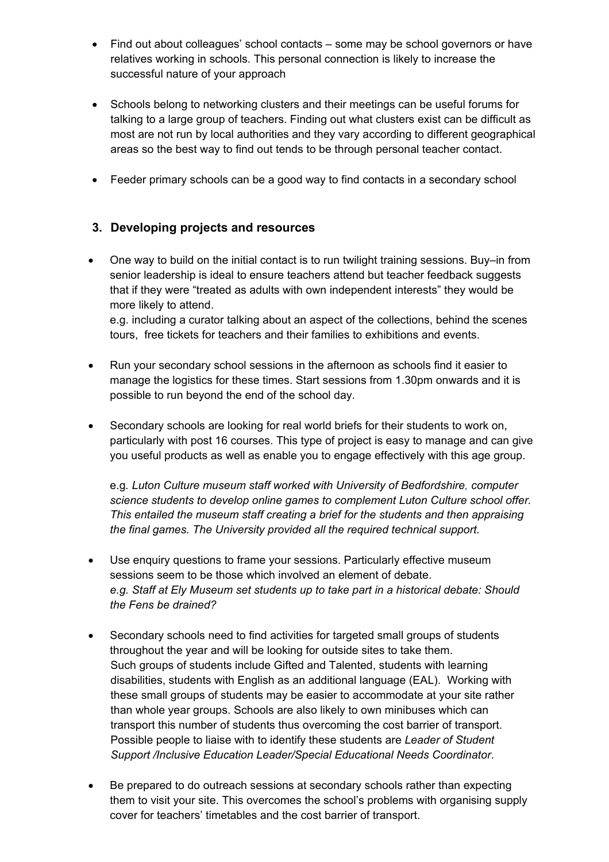- Find out about colleagues' school contacts some may be school governors or have relatives working in schools. This personal connection is likely to increase the successful nature of your approach
- Schools belong to networking clusters and their meetings can be useful forums for talking to a large group of teachers. Finding out what clusters exist can be difficult as most are not run by local authorities and they vary according to different geographical areas so the best way to find out tends to be through personal teacher contact.
- Feeder primary schools can be a good way to find contacts in a secondary school

## **3. Developing projects and resources**

- One way to build on the initial contact is to run twilight training sessions. Buy–in from senior leadership is ideal to ensure teachers attend but teacher feedback suggests that if they were "treated as adults with own independent interests" they would be more likely to attend. e.g. including a curator talking about an aspect of the collections, behind the scenes tours, free tickets for teachers and their families to exhibitions and events.
- Run your secondary school sessions in the afternoon as schools find it easier to manage the logistics for these times. Start sessions from 1.30pm onwards and it is possible to run beyond the end of the school day.
- Secondary schools are looking for real world briefs for their students to work on, particularly with post 16 courses. This type of project is easy to manage and can give you useful products as well as enable you to engage effectively with this age group.

e.g*. Luton Culture museum staff worked with University of Bedfordshire, computer science students to develop online games to complement Luton Culture school offer. This entailed the museum staff creating a brief for the students and then appraising the final games. The University provided all the required technical support.* 

- Use enquiry questions to frame your sessions. Particularly effective museum sessions seem to be those which involved an element of debate. *e.g. Staff at Ely Museum set students up to take part in a historical debate: Should the Fens be drained?*
- Secondary schools need to find activities for targeted small groups of students throughout the year and will be looking for outside sites to take them. Such groups of students include Gifted and Talented, students with learning disabilities, students with English as an additional language (EAL). Working with these small groups of students may be easier to accommodate at your site rather than whole year groups. Schools are also likely to own minibuses which can transport this number of students thus overcoming the cost barrier of transport. Possible people to liaise with to identify these students are *Leader of Student Support /Inclusive Education Leader/Special Educational Needs Coordinator*.
- Be prepared to do outreach sessions at secondary schools rather than expecting them to visit your site. This overcomes the school's problems with organising supply cover for teachers' timetables and the cost barrier of transport.